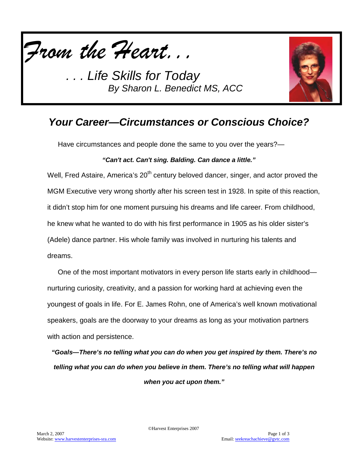



# *Your Career—Circumstances or Conscious Choice?*

Have circumstances and people done the same to you over the years?—

#### *"Can't act. Can't sing. Balding. Can dance a little."*

Well, Fred Astaire, America's  $20<sup>th</sup>$  century beloved dancer, singer, and actor proved the MGM Executive very wrong shortly after his screen test in 1928. In spite of this reaction, it didn't stop him for one moment pursuing his dreams and life career. From childhood, he knew what he wanted to do with his first performance in 1905 as his older sister's (Adele) dance partner. His whole family was involved in nurturing his talents and dreams.

One of the most important motivators in every person life starts early in childhood nurturing curiosity, creativity, and a passion for working hard at achieving even the youngest of goals in life. For E. James Rohn, one of America's well known motivational speakers, goals are the doorway to your dreams as long as your motivation partners with action and persistence.

*"Goals—There's no telling what you can do when you get inspired by them. There's no telling what you can do when you believe in them. There's no telling what will happen when you act upon them."*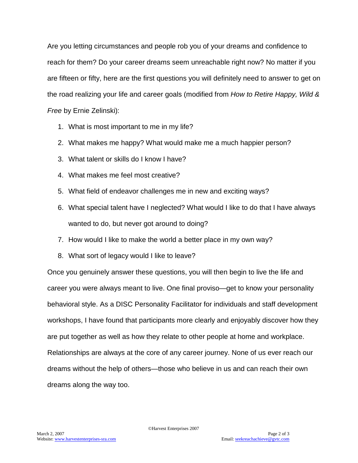Are you letting circumstances and people rob you of your dreams and confidence to reach for them? Do your career dreams seem unreachable right now? No matter if you are fifteen or fifty, here are the first questions you will definitely need to answer to get on the road realizing your life and career goals (modified from *How to Retire Happy, Wild & Free* by Ernie Zelinski):

- 1. What is most important to me in my life?
- 2. What makes me happy? What would make me a much happier person?
- 3. What talent or skills do I know I have?
- 4. What makes me feel most creative?
- 5. What field of endeavor challenges me in new and exciting ways?
- 6. What special talent have I neglected? What would I like to do that I have always wanted to do, but never got around to doing?
- 7. How would I like to make the world a better place in my own way?
- 8. What sort of legacy would I like to leave?

Once you genuinely answer these questions, you will then begin to live the life and career you were always meant to live. One final proviso—get to know your personality behavioral style. As a DISC Personality Facilitator for individuals and staff development workshops, I have found that participants more clearly and enjoyably discover how they are put together as well as how they relate to other people at home and workplace. Relationships are always at the core of any career journey. None of us ever reach our dreams without the help of others—those who believe in us and can reach their own dreams along the way too.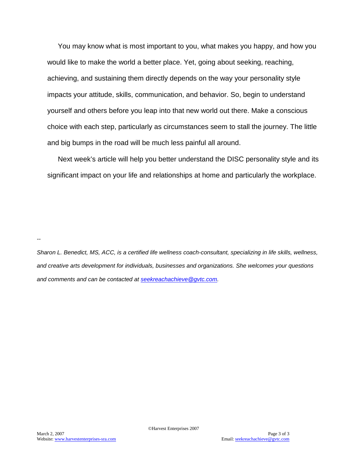You may know what is most important to you, what makes you happy, and how you would like to make the world a better place. Yet, going about seeking, reaching, achieving, and sustaining them directly depends on the way your personality style impacts your attitude, skills, communication, and behavior. So, begin to understand yourself and others before you leap into that new world out there. Make a conscious choice with each step, particularly as circumstances seem to stall the journey. The little and big bumps in the road will be much less painful all around.

Next week's article will help you better understand the DISC personality style and its significant impact on your life and relationships at home and particularly the workplace.

*--*

*Sharon L. Benedict, MS, ACC, is a certified life wellness coach-consultant, specializing in life skills, wellness, and creative arts development for individuals, businesses and organizations. She welcomes your questions and comments and can be contacted at [seekreachachieve@gvtc.com.](mailto:seekreachachieve@gvtc.com)*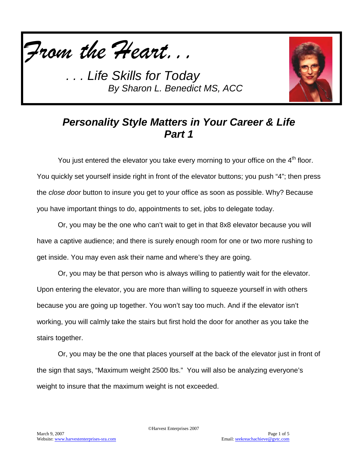



## *Personality Style Matters in Your Career & Life Part 1*

You just entered the elevator you take every morning to your office on the 4<sup>th</sup> floor. You quickly set yourself inside right in front of the elevator buttons; you push "4"; then press the *close door* button to insure you get to your office as soon as possible. Why? Because you have important things to do, appointments to set, jobs to delegate today.

Or, you may be the one who can't wait to get in that 8x8 elevator because you will have a captive audience; and there is surely enough room for one or two more rushing to get inside. You may even ask their name and where's they are going.

Or, you may be that person who is always willing to patiently wait for the elevator. Upon entering the elevator, you are more than willing to squeeze yourself in with others because you are going up together. You won't say too much. And if the elevator isn't working, you will calmly take the stairs but first hold the door for another as you take the stairs together.

Or, you may be the one that places yourself at the back of the elevator just in front of the sign that says, "Maximum weight 2500 lbs." You will also be analyzing everyone's weight to insure that the maximum weight is not exceeded.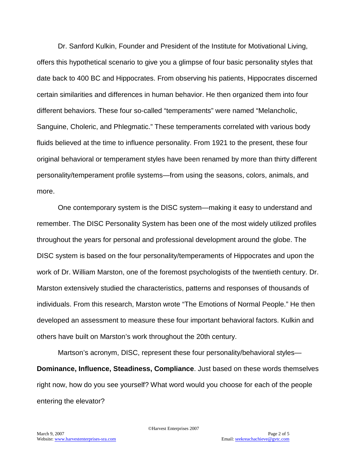Dr. Sanford Kulkin, Founder and President of the Institute for Motivational Living, offers this hypothetical scenario to give you a glimpse of four basic personality styles that date back to 400 BC and Hippocrates. From observing his patients, Hippocrates discerned certain similarities and differences in human behavior. He then organized them into four different behaviors. These four so-called "temperaments" were named "Melancholic, Sanguine, Choleric, and Phlegmatic." These temperaments correlated with various body fluids believed at the time to influence personality. From 1921 to the present, these four original behavioral or temperament styles have been renamed by more than thirty different personality/temperament profile systems—from using the seasons, colors, animals, and more.

One contemporary system is the DISC system—making it easy to understand and remember. The DISC Personality System has been one of the most widely utilized profiles throughout the years for personal and professional development around the globe. The DISC system is based on the four personality/temperaments of Hippocrates and upon the work of Dr. William Marston, one of the foremost psychologists of the twentieth century. Dr. Marston extensively studied the characteristics, patterns and responses of thousands of individuals. From this research, Marston wrote "The Emotions of Normal People." He then developed an assessment to measure these four important behavioral factors. Kulkin and others have built on Marston's work throughout the 20th century.

Martson's acronym, DISC, represent these four personality/behavioral styles— **Dominance, Influence, Steadiness, Compliance**. Just based on these words themselves right now, how do you see yourself? What word would you choose for each of the people entering the elevator?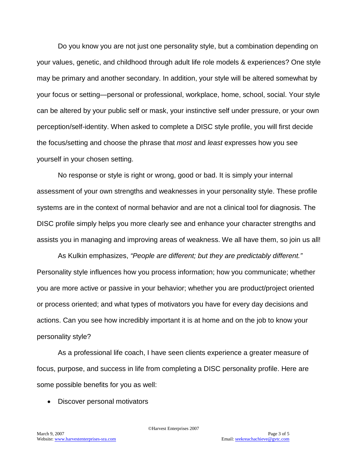Do you know you are not just one personality style, but a combination depending on your values, genetic, and childhood through adult life role models & experiences? One style may be primary and another secondary. In addition, your style will be altered somewhat by your focus or setting—personal or professional, workplace, home, school, social. Your style can be altered by your public self or mask, your instinctive self under pressure, or your own perception/self-identity. When asked to complete a DISC style profile, you will first decide the focus/setting and choose the phrase that *most* and *least* expresses how you see yourself in your chosen setting.

No response or style is right or wrong, good or bad. It is simply your internal assessment of your own strengths and weaknesses in your personality style. These profile systems are in the context of normal behavior and are not a clinical tool for diagnosis. The DISC profile simply helps you more clearly see and enhance your character strengths and assists you in managing and improving areas of weakness. We all have them, so join us all!

As Kulkin emphasizes, *"People are different; but they are predictably different."* Personality style influences how you process information; how you communicate; whether you are more active or passive in your behavior; whether you are product/project oriented or process oriented; and what types of motivators you have for every day decisions and actions. Can you see how incredibly important it is at home and on the job to know your personality style?

As a professional life coach, I have seen clients experience a greater measure of focus, purpose, and success in life from completing a DISC personality profile. Here are some possible benefits for you as well:

• Discover personal motivators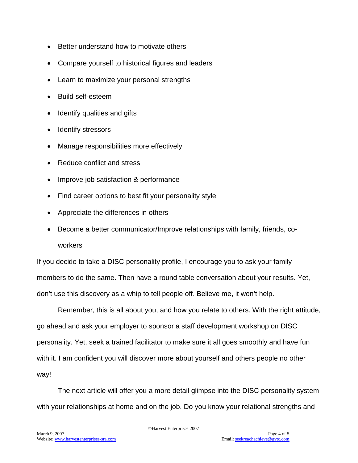- Better understand how to motivate others
- Compare yourself to historical figures and leaders
- Learn to maximize your personal strengths
- Build self-esteem
- Identify qualities and gifts
- Identify stressors
- Manage responsibilities more effectively
- Reduce conflict and stress
- Improve job satisfaction & performance
- Find career options to best fit your personality style
- Appreciate the differences in others
- Become a better communicator/Improve relationships with family, friends, coworkers

If you decide to take a DISC personality profile, I encourage you to ask your family members to do the same. Then have a round table conversation about your results. Yet, don't use this discovery as a whip to tell people off. Believe me, it won't help.

Remember, this is all about you, and how you relate to others. With the right attitude, go ahead and ask your employer to sponsor a staff development workshop on DISC personality. Yet, seek a trained facilitator to make sure it all goes smoothly and have fun with it. I am confident you will discover more about yourself and others people no other way!

The next article will offer you a more detail glimpse into the DISC personality system with your relationships at home and on the job. Do you know your relational strengths and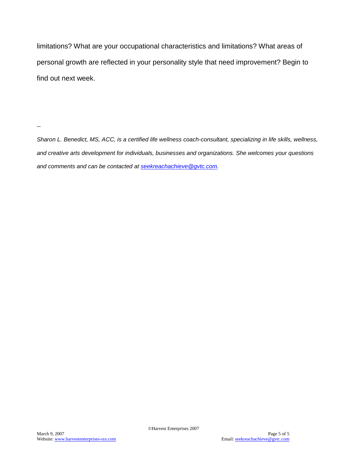limitations? What are your occupational characteristics and limitations? What areas of personal growth are reflected in your personality style that need improvement? Begin to find out next week.

*--*

*Sharon L. Benedict, MS, ACC, is a certified life wellness coach-consultant, specializing in life skills, wellness, and creative arts development for individuals, businesses and organizations. She welcomes your questions and comments and can be contacted at [seekreachachieve@gvtc.com.](mailto:seekreachachieve@gvtc.com)*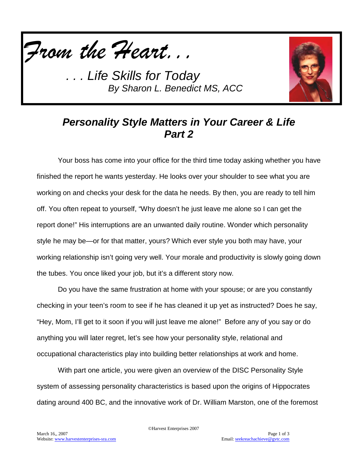



## *Personality Style Matters in Your Career & Life Part 2*

Your boss has come into your office for the third time today asking whether you have finished the report he wants yesterday. He looks over your shoulder to see what you are working on and checks your desk for the data he needs. By then, you are ready to tell him off. You often repeat to yourself, "Why doesn't he just leave me alone so I can get the report done!" His interruptions are an unwanted daily routine. Wonder which personality style he may be—or for that matter, yours? Which ever style you both may have, your working relationship isn't going very well. Your morale and productivity is slowly going down the tubes. You once liked your job, but it's a different story now.

Do you have the same frustration at home with your spouse; or are you constantly checking in your teen's room to see if he has cleaned it up yet as instructed? Does he say, "Hey, Mom, I'll get to it soon if you will just leave me alone!" Before any of you say or do anything you will later regret, let's see how your personality style, relational and occupational characteristics play into building better relationships at work and home.

With part one article, you were given an overview of the DISC Personality Style system of assessing personality characteristics is based upon the origins of Hippocrates dating around 400 BC, and the innovative work of Dr. William Marston, one of the foremost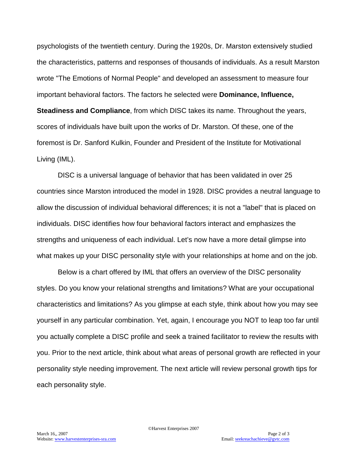psychologists of the twentieth century. During the 1920s, Dr. Marston extensively studied the characteristics, patterns and responses of thousands of individuals. As a result Marston wrote "The Emotions of Normal People" and developed an assessment to measure four important behavioral factors. The factors he selected were **Dominance, Influence, Steadiness and Compliance**, from which DISC takes its name. Throughout the years, scores of individuals have built upon the works of Dr. Marston. Of these, one of the foremost is Dr. Sanford Kulkin, Founder and President of the Institute for Motivational Living (IML).

DISC is a universal language of behavior that has been validated in over 25 countries since Marston introduced the model in 1928. DISC provides a neutral language to allow the discussion of individual behavioral differences; it is not a "label" that is placed on individuals. DISC identifies how four behavioral factors interact and emphasizes the strengths and uniqueness of each individual. Let's now have a more detail glimpse into what makes up your DISC personality style with your relationships at home and on the job.

Below is a chart offered by IML that offers an overview of the DISC personality styles. Do you know your relational strengths and limitations? What are your occupational characteristics and limitations? As you glimpse at each style, think about how you may see yourself in any particular combination. Yet, again, I encourage you NOT to leap too far until you actually complete a DISC profile and seek a trained facilitator to review the results with you. Prior to the next article, think about what areas of personal growth are reflected in your personality style needing improvement. The next article will review personal growth tips for each personality style.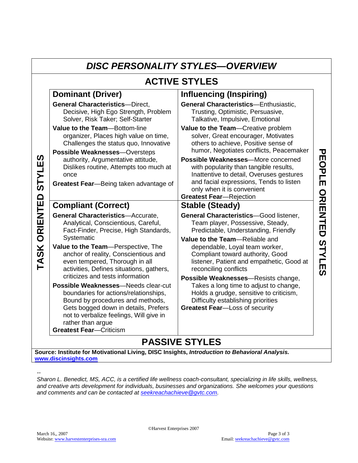| <b>DISC PERSONALITY STYLES-OVERVIEW</b>                          |                                                                                                                                                                                                                                                            |                                                                                                                                                                                                                                                                                                                                     |                    |
|------------------------------------------------------------------|------------------------------------------------------------------------------------------------------------------------------------------------------------------------------------------------------------------------------------------------------------|-------------------------------------------------------------------------------------------------------------------------------------------------------------------------------------------------------------------------------------------------------------------------------------------------------------------------------------|--------------------|
| <b>ACTIVE STYLES</b>                                             |                                                                                                                                                                                                                                                            |                                                                                                                                                                                                                                                                                                                                     |                    |
| ທ<br>Щ<br><b>ITALS</b><br>ORIENTED<br>$\frac{1}{2}$<br><b>AT</b> | <b>Dominant (Driver)</b>                                                                                                                                                                                                                                   | <b>Influencing (Inspiring)</b>                                                                                                                                                                                                                                                                                                      |                    |
|                                                                  | <b>General Characteristics-Direct,</b><br>Decisive, High Ego Strength, Problem<br>Solver, Risk Taker; Self-Starter                                                                                                                                         | <b>General Characteristics-Enthusiastic,</b><br>Trusting, Optimistic, Persuasive,<br>Talkative, Impulsive, Emotional                                                                                                                                                                                                                | <b>PEOPLE</b>      |
|                                                                  | Value to the Team-Bottom-line<br>organizer, Places high value on time,<br>Challenges the status quo, Innovative<br>Possible Weaknesses-Oversteps<br>authority, Argumentative attitude,<br>Dislikes routine, Attempts too much at<br>once                   | Value to the Team-Creative problem<br>solver, Great encourager, Motivates<br>others to achieve, Positive sense of<br>humor, Negotiates conflicts, Peacemaker<br>Possible Weaknesses-More concerned<br>with popularity than tangible results,<br>Inattentive to detail, Overuses gestures<br>and facial expressions, Tends to listen |                    |
|                                                                  | Greatest Fear-Being taken advantage of                                                                                                                                                                                                                     | only when it is convenient<br><b>Greatest Fear-Rejection</b>                                                                                                                                                                                                                                                                        |                    |
|                                                                  | <b>Compliant (Correct)</b>                                                                                                                                                                                                                                 | <b>Stable (Steady)</b>                                                                                                                                                                                                                                                                                                              |                    |
|                                                                  | <b>General Characteristics-Accurate,</b><br>Analytical, Conscientious, Careful,<br>Fact-Finder, Precise, High Standards,                                                                                                                                   | <b>General Characteristics-Good listener,</b><br>Team player, Possessive, Steady,<br>Predictable, Understanding, Friendly                                                                                                                                                                                                           | ORIENTED           |
|                                                                  | Systematic<br>Value to the Team-Perspective, The<br>anchor of reality, Conscientious and<br>even tempered, Thorough in all<br>activities, Defines situations, gathers,<br>criticizes and tests information                                                 | Value to the Team-Reliable and<br>dependable, Loyal team worker,<br>Compliant toward authority, Good<br>listener, Patient and empathetic, Good at<br>reconciling conflicts<br>Possible Weaknesses-Resists change,                                                                                                                   | <b>STYLE</b><br>ັທ |
|                                                                  | Possible Weaknesses-Needs clear-cut<br>boundaries for actions/relationships,<br>Bound by procedures and methods,<br>Gets bogged down in details, Prefers<br>not to verbalize feelings, Will give in<br>rather than argue<br><b>Greatest Fear-Criticism</b> | Takes a long time to adjust to change,<br>Holds a grudge, sensitive to criticism,<br>Difficulty establishing priorities<br><b>Greatest Fear-Loss of security</b>                                                                                                                                                                    |                    |
| <b>PASSIVE STYLES</b>                                            |                                                                                                                                                                                                                                                            |                                                                                                                                                                                                                                                                                                                                     |                    |

**Source: Institute for Motivational Living, DISC Insights,** *Introduction to Behavioral Analysis.*  **[www.discinsights.com](http://www.discinsights.com/)**

*Sharon L. Benedict, MS, ACC, is a certified life wellness coach-consultant, specializing in life skills, wellness, and creative arts development for individuals, businesses and organizations. She welcomes your questions and comments and can be contacted at [seekreachachieve@gvtc.com.](mailto:seekreachachieve@gvtc.com)*

*--*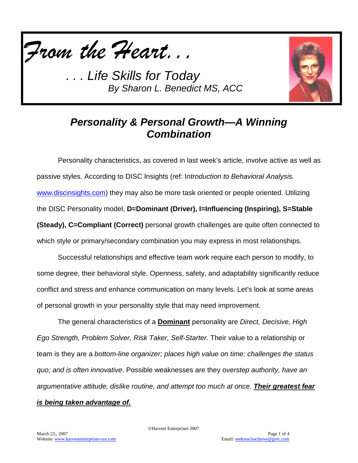



# *Personality & Personal Growth—A Winning Combination*

Personality characteristics, as covered in last week's article, involve active as well as passive styles. According to DISC Insights (ref: I*ntroduction to Behavioral Analysis.* [www.discinsights.com\)](http://www.discinsights.com/) they may also be more task oriented or people oriented. Utilizing the DISC Personality model, **D=Dominant (Driver), I=Influencing (Inspiring), S=Stable (Steady), C=Compliant (Correct)** personal growth challenges are quite often connected to which style or primary/secondary combination you may express in most relationships.

Successful relationships and effective team work require each person to modify, to some degree, their behavioral style. Openness, safety, and adaptability significantly reduce conflict and stress and enhance communication on many levels. Let's look at some areas of personal growth in your personality style that may need improvement.

The general characteristics of a **Dominant** personality are *Direct, Decisive, High Ego Strength, Problem Solver, Risk Taker, Self-Starter*. Their value to a relationship or team is they are a *bottom-line organizer; places high value on time; challenges the status quo; and is often innovative*. Possible weaknesses are they o*verstep authority, have an argumentative attitude, dislike routine, and attempt too much at once*. *Their greatest fear is being taken advantage of.*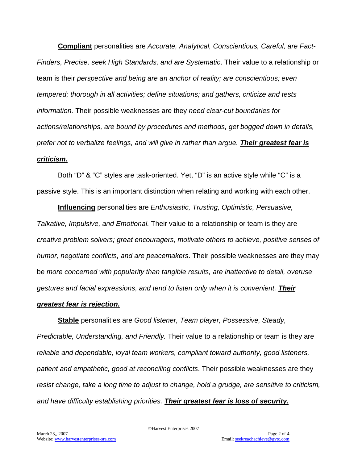**Compliant** personalities are *Accurate, Analytical, Conscientious, Careful, are Fact-Finders, Precise, seek High Standards, and are Systematic*. Their value to a relationship or team is their *perspective and being are an anchor of reality; are conscientious; even tempered; thorough in all activities; define situations; and gathers, criticize and tests information.* Their possible weaknesses are they *need clear-cut boundaries for actions/relationships, are bound by procedures and methods, get bogged down in details, prefer not to verbalize feelings, and will give in rather than argue. Their greatest fear is criticism.*

Both "D" & "C" styles are task-oriented. Yet, "D" is an active style while "C" is a passive style. This is an important distinction when relating and working with each other.

**Influencing** personalities are *Enthusiastic, Trusting, Optimistic, Persuasive, Talkative, Impulsive, and Emotional.* Their value to a relationship or team is they are *creative problem solvers; great encouragers, motivate others to achieve, positive senses of humor, negotiate conflicts, and are peacemakers*. Their possible weaknesses are they may be *more concerned with popularity than tangible results, are inattentive to detail, overuse gestures and facial expressions, and tend to listen only when it is convenient. Their* 

#### *greatest fear is rejection.*

**Stable** personalities are *Good listener, Team player, Possessive, Steady, Predictable, Understanding, and Friendly.* Their value to a relationship or team is they are *reliable and dependable, loyal team workers, compliant toward authority, good listeners, patient and empathetic, good at reconciling conflicts*. Their possible weaknesses are they *resist change, take a long time to adjust to change, hold a grudge, are sensitive to criticism, and have difficulty establishing priorities. Their greatest fear is loss of security.*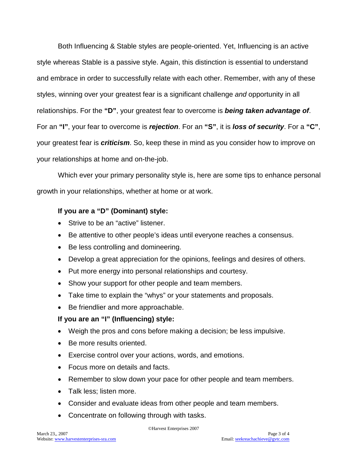Both Influencing & Stable styles are people-oriented. Yet, Influencing is an active style whereas Stable is a passive style. Again, this distinction is essential to understand and embrace in order to successfully relate with each other. Remember, with any of these styles, winning over your greatest fear is a significant challenge *and* opportunity in all relationships. For the **"D"**, your greatest fear to overcome is *being taken advantage of*. For an **"I"**, your fear to overcome is *rejection*. For an **"S"**, it is *loss of security*. For a **"C"**, your greatest fear is *criticism*. So, keep these in mind as you consider how to improve on your relationships at home and on-the-job.

Which ever your primary personality style is, here are some tips to enhance personal growth in your relationships, whether at home or at work.

### **If you are a "D" (Dominant) style:**

- Strive to be an "active" listener.
- Be attentive to other people's ideas until everyone reaches a consensus.
- Be less controlling and domineering.
- Develop a great appreciation for the opinions, feelings and desires of others.
- Put more energy into personal relationships and courtesy.
- Show your support for other people and team members.
- Take time to explain the "whys" or your statements and proposals.
- Be friendlier and more approachable.

### **If you are an "I" (Influencing) style:**

- Weigh the pros and cons before making a decision; be less impulsive.
- Be more results oriented.
- Exercise control over your actions, words, and emotions.
- Focus more on details and facts.
- Remember to slow down your pace for other people and team members.
- Talk less; listen more.
- Consider and evaluate ideas from other people and team members.
- Concentrate on following through with tasks.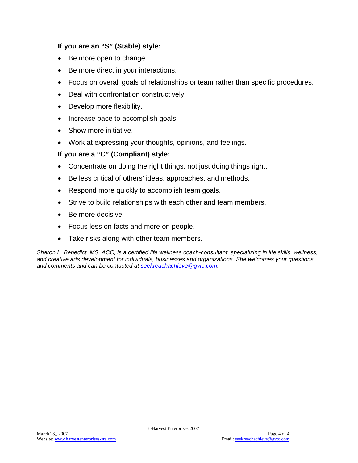#### **If you are an "S" (Stable) style:**

- Be more open to change.
- Be more direct in your interactions.
- Focus on overall goals of relationships or team rather than specific procedures.
- Deal with confrontation constructively.
- Develop more flexibility.
- Increase pace to accomplish goals.
- Show more initiative.
- Work at expressing your thoughts, opinions, and feelings.

#### **If you are a "C" (Compliant) style:**

- Concentrate on doing the right things, not just doing things right.
- Be less critical of others' ideas, approaches, and methods.
- Respond more quickly to accomplish team goals.
- Strive to build relationships with each other and team members.
- Be more decisive.
- Focus less on facts and more on people.
- Take risks along with other team members.

*-- Sharon L. Benedict, MS, ACC, is a certified life wellness coach-consultant, specializing in life skills, wellness, and creative arts development for individuals, businesses and organizations. She welcomes your questions and comments and can be contacted at [seekreachachieve@gvtc.com.](mailto:seekreachachieve@gvtc.com)*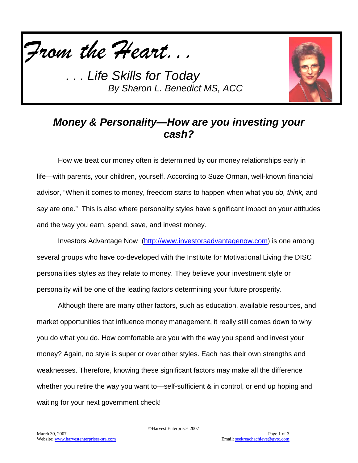



## *Money & Personality—How are you investing your cash?*

How we treat our money often is determined by our money relationships early in life—with parents, your children, yourself. According to Suze Orman, well-known financial advisor, "When it comes to money, freedom starts to happen when what you *do, think,* and *say* are one." This is also where personality styles have significant impact on your attitudes and the way you earn, spend, save, and invest money.

Investors Advantage Now [\(http://www.investorsadvantagenow.com\)](http://www.investorsadvantagenow.com/) is one among several groups who have co-developed with the Institute for Motivational Living the DISC personalities styles as they relate to money. They believe your investment style or personality will be one of the leading factors determining your future prosperity.

Although there are many other factors, such as education, available resources, and market opportunities that influence money management, it really still comes down to why you do what you do. How comfortable are you with the way you spend and invest your money? Again, no style is superior over other styles. Each has their own strengths and weaknesses. Therefore, knowing these significant factors may make all the difference whether you retire the way you want to—self-sufficient & in control, or end up hoping and waiting for your next government check!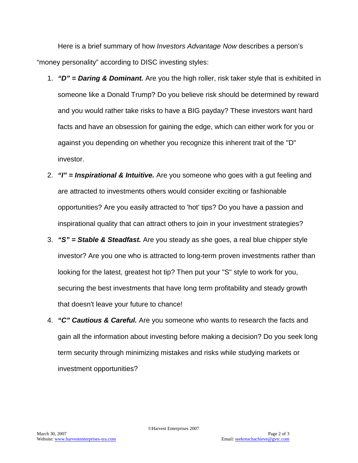Here is a brief summary of how *Investors Advantage Now* describes a person's "money personality" according to DISC investing styles:

- 1. *"D" = Daring & Dominant.* Are you the high roller, risk taker style that is exhibited in someone like a Donald Trump? Do you believe risk should be determined by reward and you would rather take risks to have a BIG payday? These investors want hard facts and have an obsession for gaining the edge, which can either work for you or against you depending on whether you recognize this inherent trait of the "D" investor.
- 2. *"I" = Inspirational & Intuitive.* Are you someone who goes with a gut feeling and are attracted to investments others would consider exciting or fashionable opportunities? Are you easily attracted to 'hot' tips? Do you have a passion and inspirational quality that can attract others to join in your investment strategies?
- 3. *"S" = Stable & Steadfast.* Are you steady as she goes, a real blue chipper style investor? Are you one who is attracted to long-term proven investments rather than looking for the latest, greatest hot tip? Then put your "S" style to work for you, securing the best investments that have long term profitability and steady growth that doesn't leave your future to chance!
- 4. *"C" Cautious & Careful.* Are you someone who wants to research the facts and gain all the information about investing before making a decision? Do you seek long term security through minimizing mistakes and risks while studying markets or investment opportunities?